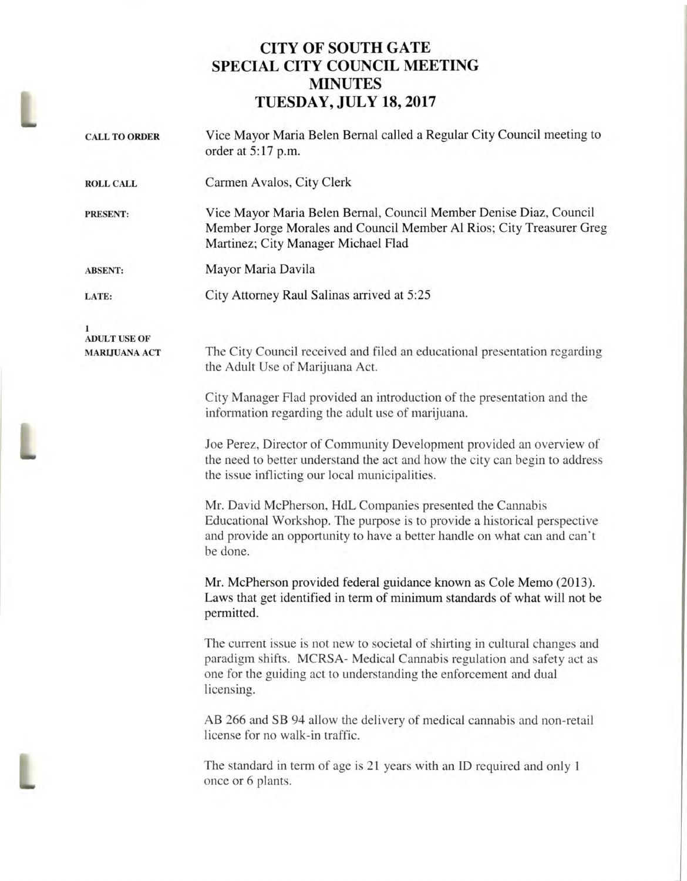## **CITY OF SOUTH GATE SPECIAL CITY COUNCIL MEETING MINUTES TUESDAY, JULY 18, 2017**

| <b>CALL TO ORDER</b>                             | Vice Mayor Maria Belen Bernal called a Regular City Council meeting to<br>order at 5:17 p.m.                                                                                                                                             |
|--------------------------------------------------|------------------------------------------------------------------------------------------------------------------------------------------------------------------------------------------------------------------------------------------|
| <b>ROLL CALL</b>                                 | Carmen Avalos, City Clerk                                                                                                                                                                                                                |
| <b>PRESENT:</b>                                  | Vice Mayor Maria Belen Bernal, Council Member Denise Diaz, Council<br>Member Jorge Morales and Council Member Al Rios; City Treasurer Greg<br>Martinez; City Manager Michael Flad                                                        |
| <b>ABSENT:</b>                                   | Mayor Maria Davila                                                                                                                                                                                                                       |
| LATE:                                            | City Attorney Raul Salinas arrived at 5:25                                                                                                                                                                                               |
| 1<br><b>ADULT USE OF</b><br><b>MARLJUANA ACT</b> | The City Council received and filed an educational presentation regarding<br>the Adult Use of Marijuana Act.                                                                                                                             |
|                                                  | City Manager Flad provided an introduction of the presentation and the<br>information regarding the adult use of marijuana.                                                                                                              |
|                                                  | Joe Perez, Director of Community Development provided an overview of<br>the need to better understand the act and how the city can begin to address<br>the issue inflicting our local municipalities.                                    |
|                                                  | Mr. David McPherson, HdL Companies presented the Cannabis<br>Educational Workshop. The purpose is to provide a historical perspective<br>and provide an opportunity to have a better handle on what can and can't<br>be done.            |
|                                                  | Mr. McPherson provided federal guidance known as Cole Memo (2013).<br>Laws that get identified in term of minimum standards of what will not be<br>permitted.                                                                            |
|                                                  | The current issue is not new to societal of shirting in cultural changes and<br>paradigm shifts. MCRSA- Medical Cannabis regulation and safety act as<br>one for the guiding act to understanding the enforcement and dual<br>licensing. |
|                                                  | AB 266 and SB 94 allow the delivery of medical cannabis and non-retail<br>license for no walk-in traffic.                                                                                                                                |
|                                                  | The standard in term of age is 21 years with an ID required and only 1<br>once or 6 plants.                                                                                                                                              |

L

L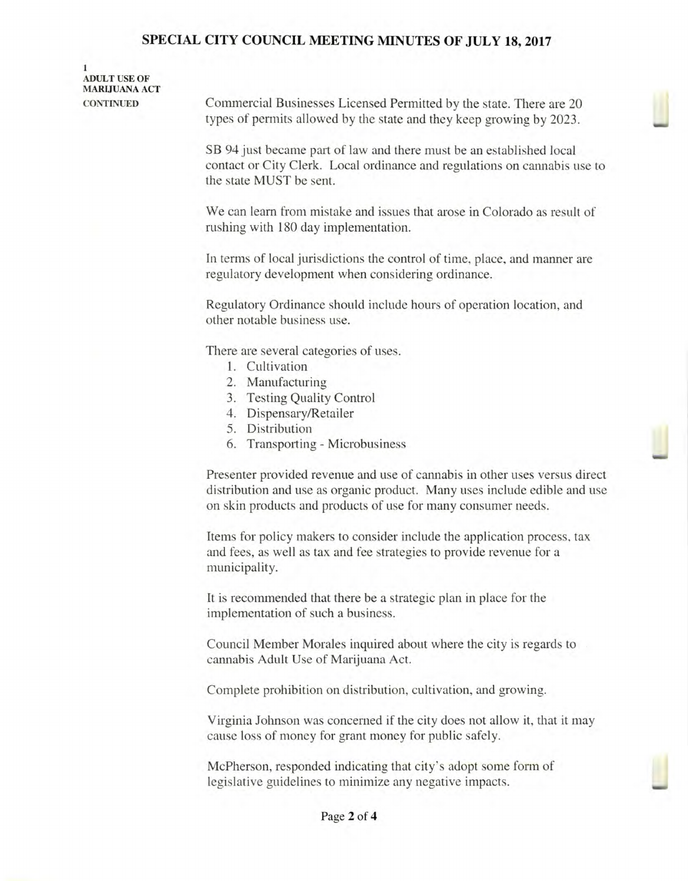## SPECIAL **CITY COUNCIL MEETING MINUTES OF JULY 18, 2017**

**1 ADULT USE OF MARIJUANA ACT** 

**CONTINUED** Commercial Businesses Licensed Permitted by the state. There are 20 types of permits allowed by the state and they keep growing by 2023.

> SB 94 just became part of law and there must be an established local contact or City Clerk. Local ordinance and regulations on cannabis use to the state MUST be sent.

We can learn from mistake and issues that arose in Colorado as result of rushing with 180 day implementation.

In terms of local jurisdictions the control of time, place, and manner are regulatory development when considering ordinance.

Regulatory Ordinance should include hours of operation location, and other notable business use.

There are several categories of uses.

- 1. Cultivation
- 2. Manufacturing
- 3. Testing Quality Control
- 4. Dispensary/Retailer
- 5. Distribution
- 6. Transporting Microbusiness

Presenter provided revenue and use of cannabis in other uses versus direct distribution and use as organic product. Many uses include edible and use on skin products and products of use for many consumer needs.

Items for policy makers to consider include the application process, tax and fees, as well as tax and fee strategies to provide revenue for a municipality.

It is recommended that there be a strategic plan in place for the implementation of such a business.

Council Member Morales inquired about where the city is regards to cannabis Adult Use of Marijuana Act.

Complete prohibition on distribution, cultivation, and growing.

Virginia Johnson was concerned if the city does not allow it, that it may cause loss of money for grant money for public safely.

McPherson, responded indicating that city's adopt some form of legislative guidelines to minimize any negative impacts.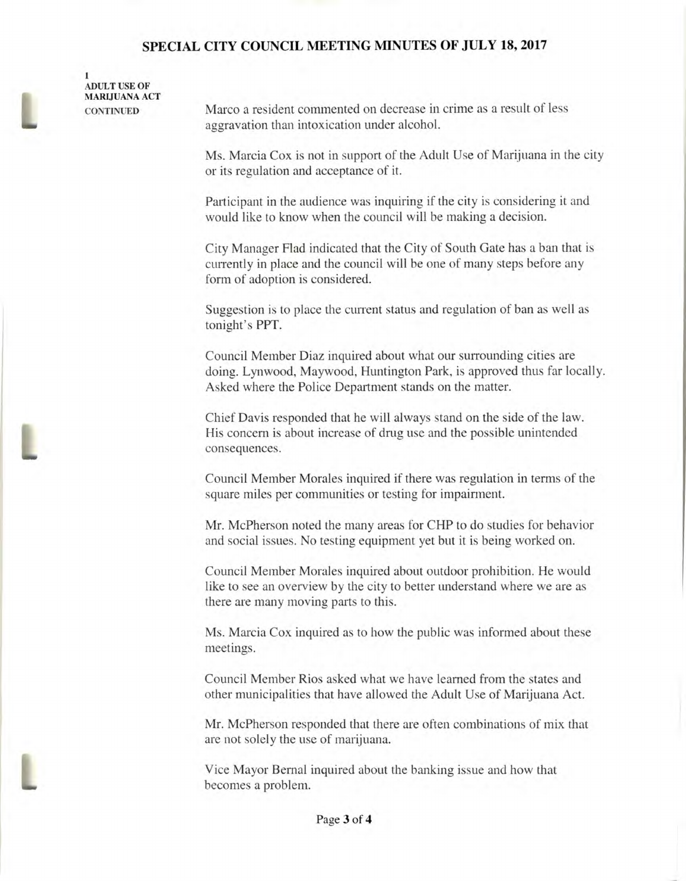## **SPECIAL CITY COUNCIL MEETING MINUTES OF JULY 18, 2017**

 $\mathbf{1}$ **ADULT USE OF MARIJUANA ACT** 

**CONTINUED** Marco a resident commented on decrease in crime as a result of less aggravation than intoxication under alcohol.

> Ms. Marcia Cox is not in support of the Adult Use of Marijuana in the city or its regulation and acceptance of it.

Participant in the audience was inquiring if the city is considering it and would like to know when the council will be making a decision.

City Manager Flad indicated that the City of South Gate has a ban that is currently in place and the council will be one of many steps before any form of adoption is considered.

Suggestion is to place the current status and regulation of ban as well as tonight's PPT.

Council Member Diaz inquired about what our surrounding cities are doing. Lynwood, Maywood, Huntington Park, is approved thus far locally. Asked where the Police Department stands on the matter.

Chief Davis responded that he will always stand on the side of the law. His concern is about increase of drug use and the possible unintended consequences.

Council Member Morales inquired if there was regulation in terms of the square miles per communities or testing for impairment.

Mr. McPherson noted the many areas for CHP to do studies for behavior and social issues. No testing equipment yet but it is being worked on.

Council Member Morales inquired about outdoor prohibition. He would like to see an overview by the city to better understand where we are as there are many moving parts to this.

Ms. Marcia Cox inquired as to how the public was informed about these meetings.

Council Member Rios asked what we have learned from the states and other municipalities that have allowed the Adult Use of Marijuana Act.

Mr. McPherson responded that there are often combinations of mix that are not solely the use of marijuana.

Vice Mayor Bernal inquired about the banking issue and how that becomes a problem.